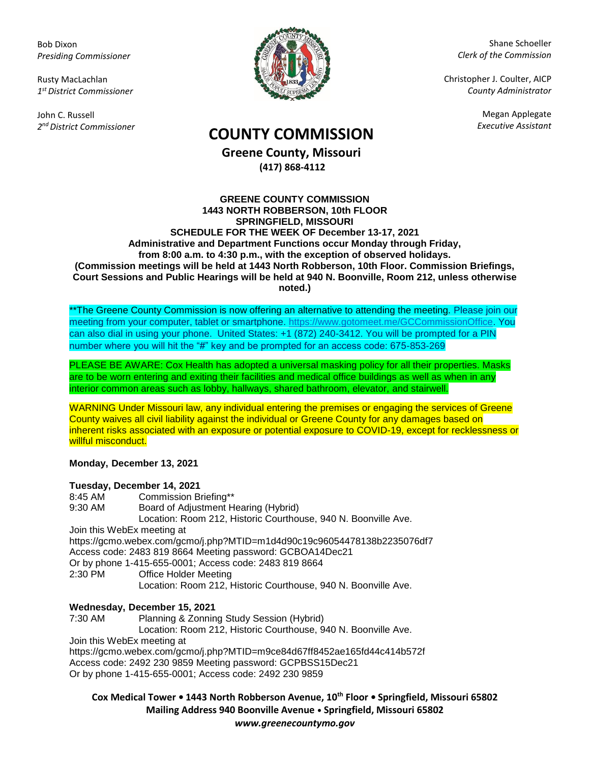Bob Dixon *Presiding Commissioner*

Rusty MacLachlan *1 st District Commissioner*

John C. Russell *2 nd District Commissioner*



Shane Schoeller *Clerk of the Commission*

Christopher J. Coulter, AICP *County Administrator*

Megan Applegate

## *Executive Assistant* **COUNTY COMMISSION**

**Greene County, Missouri (417) 868-4112**

## **GREENE COUNTY COMMISSION 1443 NORTH ROBBERSON, 10th FLOOR SPRINGFIELD, MISSOURI SCHEDULE FOR THE WEEK OF December 13-17, 2021 Administrative and Department Functions occur Monday through Friday, from 8:00 a.m. to 4:30 p.m., with the exception of observed holidays. (Commission meetings will be held at 1443 North Robberson, 10th Floor. Commission Briefings, Court Sessions and Public Hearings will be held at 940 N. Boonville, Room 212, unless otherwise noted.)**

\*\*The Greene County Commission is now offering an alternative to attending the meeting. Please join our meeting from your computer, tablet or smartphone. [https://www.gotomeet.me/GCCommissionOffice.](https://www.gotomeet.me/GCCommissionOffice) You can also dial in using your phone. United States: +1 (872) 240-3412. You will be prompted for a PIN number where you will hit the "#" key and be prompted for an access code: 675-853-269

PLEASE BE AWARE: Cox Health has adopted a universal masking policy for all their properties. Masks are to be worn entering and exiting their facilities and medical office buildings as well as when in any interior common areas such as lobby, hallways, shared bathroom, elevator, and stairwell.

WARNING Under Missouri law, any individual entering the premises or engaging the services of Greene County waives all civil liability against the individual or Greene County for any damages based on inherent risks associated with an exposure or potential exposure to COVID-19, except for recklessness or willful misconduct.

**Monday, December 13, 2021**

## **Tuesday, December 14, 2021**

8:45 AM Commission Briefing\*\* 9:30 AM Board of Adjustment Hearing (Hybrid) Location: Room 212, Historic Courthouse, 940 N. Boonville Ave. Join this WebEx meeting at https://gcmo.webex.com/gcmo/j.php?MTID=m1d4d90c19c96054478138b2235076df7 Access code: 2483 819 8664 Meeting password: GCBOA14Dec21 Or by phone 1-415-655-0001; Access code: 2483 819 8664 2:30 PM Office Holder Meeting Location: Room 212, Historic Courthouse, 940 N. Boonville Ave.

## **Wednesday, December 15, 2021**

7:30 AM Planning & Zonning Study Session (Hybrid) Location: Room 212, Historic Courthouse, 940 N. Boonville Ave. Join this WebEx meeting at https://gcmo.webex.com/gcmo/j.php?MTID=m9ce84d67ff8452ae165fd44c414b572f Access code: 2492 230 9859 Meeting password: GCPBSS15Dec21 Or by phone 1-415-655-0001; Access code: 2492 230 9859

**Cox Medical Tower • 1443 North Robberson Avenue, 10th Floor • Springfield, Missouri 65802 Mailing Address 940 Boonville Avenue • Springfield, Missouri 65802** *www.greenecountymo.gov*